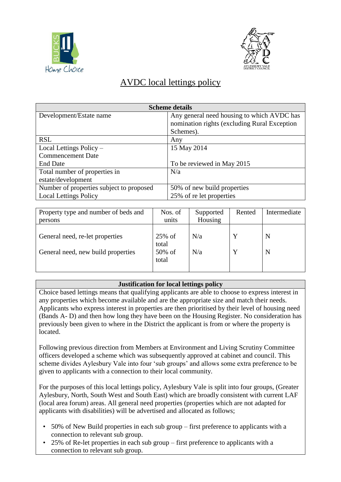



## AVDC local lettings policy

| <b>Scheme details</b>                    |                                              |  |  |  |
|------------------------------------------|----------------------------------------------|--|--|--|
| Development/Estate name                  | Any general need housing to which AVDC has   |  |  |  |
|                                          | nomination rights (excluding Rural Exception |  |  |  |
|                                          | Schemes).                                    |  |  |  |
| <b>RSL</b>                               | Any                                          |  |  |  |
| Local Lettings Policy –                  | 15 May 2014                                  |  |  |  |
| <b>Commencement Date</b>                 |                                              |  |  |  |
| <b>End Date</b>                          | To be reviewed in May 2015                   |  |  |  |
| Total number of properties in            | N/a                                          |  |  |  |
| estate/development                       |                                              |  |  |  |
| Number of properties subject to proposed | 50% of new build properties                  |  |  |  |
| <b>Local Lettings Policy</b>             | 25% of re let properties                     |  |  |  |

| Property type and number of beds and<br>persons                       | Nos. of<br>units                      | Supported<br>Housing | Rented | Intermediate |
|-----------------------------------------------------------------------|---------------------------------------|----------------------|--------|--------------|
| General need, re-let properties<br>General need, new build properties | $25\%$ of<br>total<br>50% of<br>total | N/a<br>N/a           |        | N<br>N       |

## **Justification for local lettings policy**

Choice based lettings means that qualifying applicants are able to choose to express interest in any properties which become available and are the appropriate size and match their needs. Applicants who express interest in properties are then prioritised by their level of housing need (Bands A- D) and then how long they have been on the Housing Register. No consideration has previously been given to where in the District the applicant is from or where the property is **located** 

Following previous direction from Members at Environment and Living Scrutiny Committee officers developed a scheme which was subsequently approved at cabinet and council. This scheme divides Aylesbury Vale into four 'sub groups' and allows some extra preference to be given to applicants with a connection to their local community.

For the purposes of this local lettings policy, Aylesbury Vale is split into four groups, (Greater Aylesbury, North, South West and South East) which are broadly consistent with current LAF (local area forum) areas. All general need properties (properties which are not adapted for applicants with disabilities) will be advertised and allocated as follows;

- 50% of New Build properties in each sub group first preference to applicants with a connection to relevant sub group.
- 25% of Re-let properties in each sub group first preference to applicants with a connection to relevant sub group.